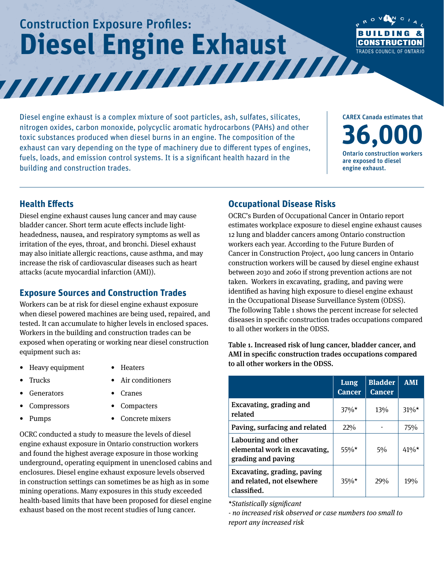# Construction Exposure Profiles: **Diesel Engine Exhaust**



Diesel engine exhaust is a complex mixture of soot particles, ash, sulfates, silicates, nitrogen oxides, carbon monoxide, polycyclic aromatic hydrocarbons (PAHs) and other toxic substances produced when diesel burns in an engine. The composition of the exhaust can vary depending on the type of machinery due to different types of engines, fuels, loads, and emission control systems. It is a significant health hazard in the building and construction trades.

**36,000** Ontario construction workers are exposed to diesel engine exhaust.

CAREX Canada estimates that

#### **Health Effects**

Diesel engine exhaust causes lung cancer and may cause bladder cancer. Short term acute effects include lightheadedness, nausea, and respiratory symptoms as well as irritation of the eyes, throat, and bronchi. Diesel exhaust may also initiate allergic reactions, cause asthma, and may increase the risk of cardiovascular diseases such as heart attacks (acute myocardial infarction (AMI)).

#### **Exposure Sources and Construction Trades**

Workers can be at risk for diesel engine exhaust exposure when diesel powered machines are being used, repaired, and tested. It can accumulate to higher levels in enclosed spaces. Workers in the building and construction trades can be exposed when operating or working near diesel construction equipment such as:

- Heavy equipment Heaters
	-

- 
- Trucks Air conditioners
- Generators Cranes
- Compressors Compacters
- 
- Pumps Concrete mixers

OCRC conducted a study to measure the levels of diesel engine exhaust exposure in Ontario construction workers and found the highest average exposure in those working underground, operating equipment in unenclosed cabins and enclosures. Diesel engine exhaust exposure levels observed in construction settings can sometimes be as high as in some mining operations. Many exposures in this study exceeded health-based limits that have been proposed for diesel engine exhaust based on the most recent studies of lung cancer.

### **Occupational Disease Risks**

OCRC's Burden of Occupational Cancer in Ontario report estimates workplace exposure to diesel engine exhaust causes 12 lung and bladder cancers among Ontario construction workers each year. According to the Future Burden of Cancer in Construction Project, 400 lung cancers in Ontario construction workers will be caused by diesel engine exhaust between 2030 and 2060 if strong prevention actions are not taken. Workers in excavating, grading, and paving were identified as having high exposure to diesel engine exhaust in the Occupational Disease Surveillance System (ODSS). The following Table 1 shows the percent increase for selected diseases in specific construction trades occupations compared to all other workers in the ODSS.

Table 1. Increased risk of lung cancer, bladder cancer, and AMI in specific construction trades occupations compared to all other workers in the ODSS.

|                                                                            | Lung<br><b>Cancer</b> | <b>Bladder</b><br><b>Cancer</b> | <b>AMI</b> |
|----------------------------------------------------------------------------|-----------------------|---------------------------------|------------|
| Excavating, grading and<br>related                                         | $37\%$ <sup>*</sup>   | 13%                             | $31\%*$    |
| Paving, surfacing and related                                              | 22%                   |                                 | 75%        |
| Labouring and other<br>elemental work in excavating,<br>grading and paving | $55\%$ *              | 5%                              | $41\%$ *   |
| Excavating, grading, paving<br>and related, not elsewhere<br>classified.   | $35\%*$               | 29%                             | 19%        |

*\*Statistically significant*

*- no increased risk observed or case numbers too small to report any increased risk*